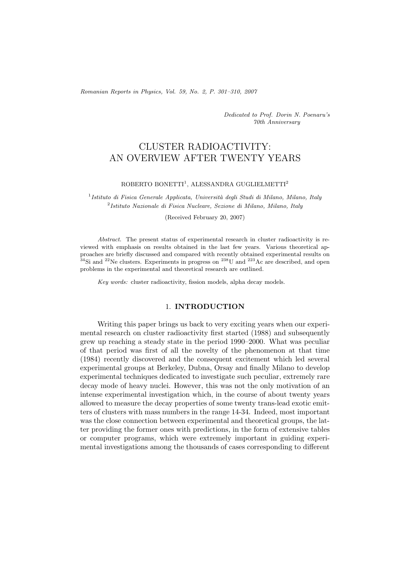*Romanian Reports in Physics, Vol. 59, No. 2, P. 301–310, 2007*

*Dedicated to Prof. Dorin N. Poenaru's 70th Anniversary*

# CLUSTER RADIOACTIVITY: AN OVERVIEW AFTER TWENTY YEARS

### ROBERTO BONETTI<sup>1</sup>, ALESSANDRA GUGLIELMETTI<sup>2</sup>

<sup>1</sup>*Istituto di Fisica Generale Applicata, Universit`a degli Studi di Milano, Milano, Italy* <sup>2</sup>*Istituto Nazionale di Fisica Nucleare, Sezione di Milano, Milano, Italy*

(Received February 20, 2007)

*Abstract.* The present status of experimental research in cluster radioactivity is reviewed with emphasis on results obtained in the last few years. Various theoretical approaches are briefly discussed and compared with recently obtained experimental results on  $34$ Si and  $22$ Ne clusters. Experiments in progress on  $238$ U and  $223$ Ac are described, and open problems in the experimental and theoretical research are outlined.

*Key words:* cluster radioactivity, fission models, alpha decay models.

### 1. **INTRODUCTION**

Writing this paper brings us back to very exciting years when our experimental research on cluster radioactivity first started (1988) and subsequently grew up reaching a steady state in the period 1990–2000. What was peculiar of that period was first of all the novelty of the phenomenon at that time (1984) recently discovered and the consequent excitement which led several experimental groups at Berkeley, Dubna, Orsay and finally Milano to develop experimental techniques dedicated to investigate such peculiar, extremely rare decay mode of heavy nuclei. However, this was not the only motivation of an intense experimental investigation which, in the course of about twenty years allowed to measure the decay properties of some twenty trans-lead exotic emitters of clusters with mass numbers in the range 14-34. Indeed, most important was the close connection between experimental and theoretical groups, the latter providing the former ones with predictions, in the form of extensive tables or computer programs, which were extremely important in guiding experimental investigations among the thousands of cases corresponding to different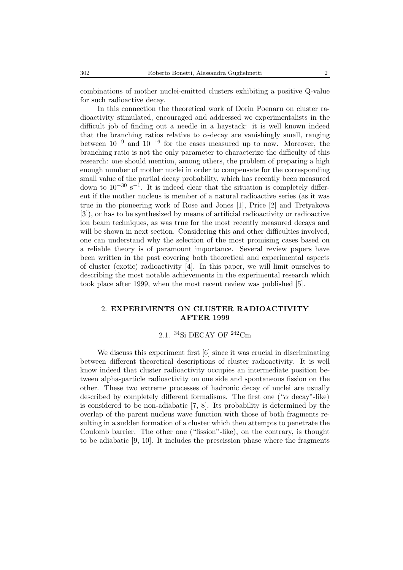combinations of mother nuclei-emitted clusters exhibiting a positive Q-value for such radioactive decay.

In this connection the theoretical work of Dorin Poenaru on cluster radioactivity stimulated, encouraged and addressed we experimentalists in the difficult job of finding out a needle in a haystack: it is well known indeed that the branching ratios relative to  $\alpha$ -decay are vanishingly small, ranging between 10*−*<sup>9</sup> and 10*−*<sup>16</sup> for the cases measured up to now. Moreover, the branching ratio is not the only parameter to characterize the difficulty of this research: one should mention, among others, the problem of preparing a high enough number of mother nuclei in order to compensate for the corresponding small value of the partial decay probability, which has recently been measured down to 10*−*<sup>30</sup> s*−*1. It is indeed clear that the situation is completely different if the mother nucleus is member of a natural radioactive series (as it was true in the pioneering work of Rose and Jones [1], Price [2] and Tretyakova [3]), or has to be synthesized by means of artificial radioactivity or radioactive ion beam techniques, as was true for the most recently measured decays and will be shown in next section. Considering this and other difficulties involved, one can understand why the selection of the most promising cases based on a reliable theory is of paramount importance. Several review papers have been written in the past covering both theoretical and experimental aspects of cluster (exotic) radioactivity [4]. In this paper, we will limit ourselves to describing the most notable achievements in the experimental research which took place after 1999, when the most recent review was published [5].

# 2. **EXPERIMENTS ON CLUSTER RADIOACTIVITY AFTER 1999**

## 2.1. <sup>34</sup>Si DECAY OF <sup>242</sup>Cm

We discuss this experiment first [6] since it was crucial in discriminating between different theoretical descriptions of cluster radioactivity. It is well know indeed that cluster radioactivity occupies an intermediate position between alpha-particle radioactivity on one side and spontaneous fission on the other. These two extreme processes of hadronic decay of nuclei are usually described by completely different formalisms. The first one (" $\alpha$  decay"-like) is considered to be non-adiabatic [7, 8]. Its probability is determined by the overlap of the parent nucleus wave function with those of both fragments resulting in a sudden formation of a cluster which then attempts to penetrate the Coulomb barrier. The other one ("fission"-like), on the contrary, is thought to be adiabatic [9, 10]. It includes the prescission phase where the fragments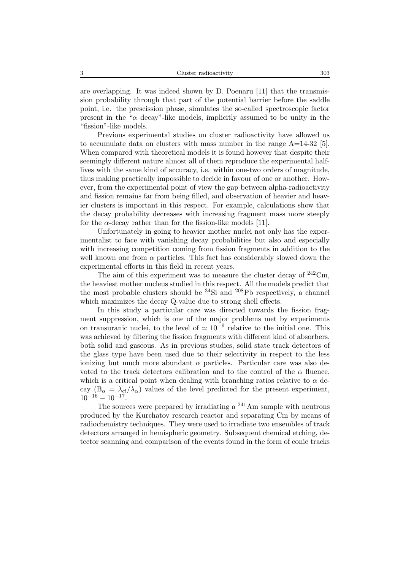are overlapping. It was indeed shown by D. Poenaru [11] that the transmission probability through that part of the potential barrier before the saddle point, i.e. the prescission phase, simulates the so-called spectroscopic factor present in the "α decay"-like models, implicitly assumed to be unity in the "fission"-like models.

Previous experimental studies on cluster radioactivity have allowed us to accumulate data on clusters with mass number in the range  $A=14-32$  [5]. When compared with theoretical models it is found however that despite their seemingly different nature almost all of them reproduce the experimental halflives with the same kind of accuracy, i.e. within one-two orders of magnitude, thus making practically impossible to decide in favour of one or another. However, from the experimental point of view the gap between alpha-radioactivity and fission remains far from being filled, and observation of heavier and heavier clusters is important in this respect. For example, calculations show that the decay probability decreases with increasing fragment mass more steeply for the  $\alpha$ -decay rather than for the fission-like models [11].

Unfortunately in going to heavier mother nuclei not only has the experimentalist to face with vanishing decay probabilities but also and especially with increasing competition coming from fission fragments in addition to the well known one from  $\alpha$  particles. This fact has considerably slowed down the experimental efforts in this field in recent years.

The aim of this experiment was to measure the cluster decay of <sup>242</sup>Cm, the heaviest mother nucleus studied in this respect. All the models predict that the most probable clusters should be  $^{34}Si$  and  $^{208}Pb$  respectively, a channel which maximizes the decay Q-value due to strong shell effects.

In this study a particular care was directed towards the fission fragment suppression, which is one of the major problems met by experiments on transuranic nuclei, to the level of  $\simeq 10^{-9}$  relative to the initial one. This was achieved by filtering the fission fragments with different kind of absorbers, both solid and gaseous. As in previous studies, solid state track detectors of the glass type have been used due to their selectivity in respect to the less ionizing but much more abundant  $\alpha$  particles. Particular care was also devoted to the track detectors calibration and to the control of the  $\alpha$  fluence, which is a critical point when dealing with branching ratios relative to  $\alpha$  decay  $(B_{\alpha} = \lambda_{cl}/\lambda_{\alpha})$  values of the level predicted for the present experiment,  $10^{-16} - 10^{-17}$ .

The sources were prepared by irradiating a  $^{241}$ Am sample with neutrons produced by the Kurchatov research reactor and separating Cm by means of radiochemistry techniques. They were used to irradiate two ensembles of track detectors arranged in hemispheric geometry. Subsequent chemical etching, detector scanning and comparison of the events found in the form of conic tracks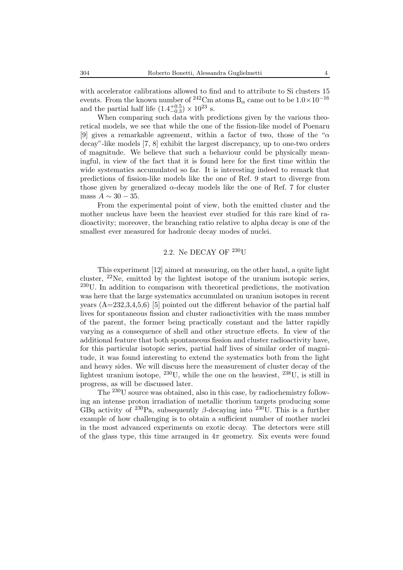with accelerator calibrations allowed to find and to attribute to Si clusters 15 events. From the known number of <sup>242</sup>Cm atoms B<sub>α</sub> came out to be  $1.0 \times 10^{-16}$ and the partial half life  $(1.4^{+0.5}_{-0.3}) \times 10^{23}$  s.

When comparing such data with predictions given by the various theoretical models, we see that while the one of the fission-like model of Poenaru [9] gives a remarkable agreement, within a factor of two, those of the " $\alpha$ " decay"-like models [7, 8] exhibit the largest discrepancy, up to one-two orders of magnitude. We believe that such a behaviour could be physically meaningful, in view of the fact that it is found here for the first time within the wide systematics accumulated so far. It is interesting indeed to remark that predictions of fission-like models like the one of Ref. 9 start to diverge from those given by generalized  $\alpha$ -decay models like the one of Ref. 7 for cluster mass  $A \sim 30 - 35$ .

From the experimental point of view, both the emitted cluster and the mother nucleus have been the heaviest ever studied for this rare kind of radioactivity; moreover, the branching ratio relative to alpha decay is one of the smallest ever measured for hadronic decay modes of nuclei.

# 2.2. Ne DECAY OF  $^{230}$ U

This experiment [12] aimed at measuring, on the other hand, a quite light cluster, <sup>22</sup>Ne, emitted by the lightest isotope of the uranium isotopic series, <sup>230</sup>U. In addition to comparison with theoretical predictions, the motivation was here that the large systematics accumulated on uranium isotopes in recent years  $(A=232,3,4,5,6)$  [5] pointed out the different behavior of the partial half lives for spontaneous fission and cluster radioactivities with the mass number of the parent, the former being practically constant and the latter rapidly varying as a consequence of shell and other structure effects. In view of the additional feature that both spontaneous fission and cluster radioactivity have, for this particular isotopic series, partial half lives of similar order of magnitude, it was found interesting to extend the systematics both from the light and heavy sides. We will discuss here the measurement of cluster decay of the lightest uranium isotope,  $^{230}$ U, while the one on the heaviest,  $^{238}$ U, is still in progress, as will be discussed later.

The <sup>230</sup>U source was obtained, also in this case, by radiochemistry following an intense proton irradiation of metallic thorium targets producing some GBq activity of <sup>230</sup>Pa, subsequently  $\beta$ -decaying into <sup>230</sup>U. This is a further example of how challenging is to obtain a sufficient number of mother nuclei in the most advanced experiments on exotic decay. The detectors were still of the glass type, this time arranged in  $4\pi$  geometry. Six events were found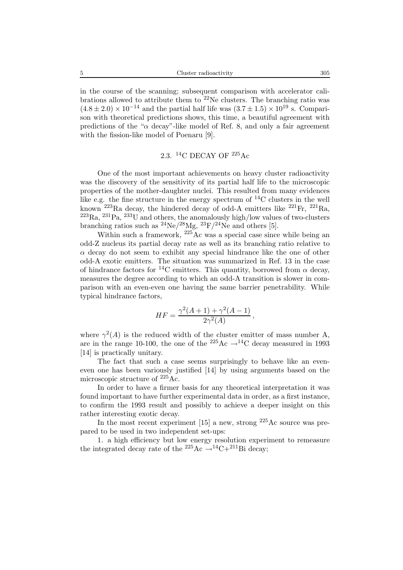in the course of the scanning; subsequent comparison with accelerator calibrations allowed to attribute them to  $22$ Ne clusters. The branching ratio was  $(4.8 \pm 2.0) \times 10^{-14}$  and the partial half life was  $(3.7 \pm 1.5) \times 10^{19}$  s. Comparison with theoretical predictions shows, this time, a beautiful agreement with predictions of the " $\alpha$  decay"-like model of Ref. 8, and only a fair agreement with the fission-like model of Poenaru [9].

# 2.3. <sup>14</sup>C DECAY OF <sup>225</sup>Ac

One of the most important achievements on heavy cluster radioactivity was the discovery of the sensitivity of its partial half life to the microscopic properties of the mother-daughter nuclei. This resulted from many evidences like e.g. the fine structure in the energy spectrum of <sup>14</sup>C clusters in the well known  $^{223}$ Ra decay, the hindered decay of odd-A emitters like  $^{221}$ Fr,  $^{221}$ Ra,  ${}^{223}Ra$ ,  ${}^{231}Pa$ ,  ${}^{233}U$  and others, the anomalously high/low values of two-clusters branching ratios such as  $^{24}Ne/^{28}Mg$ ,  $^{23}F/^{24}Ne$  and others [5].

Within such a framework,  $^{225}$ Ac was a special case since while being an odd-Z nucleus its partial decay rate as well as its branching ratio relative to  $\alpha$  decay do not seem to exhibit any special hindrance like the one of other odd-A exotic emitters. The situation was summarized in Ref. 13 in the case of hindrance factors for <sup>14</sup>C emitters. This quantity, borrowed from  $\alpha$  decay, measures the degree according to which an odd-A transition is slower in comparison with an even-even one having the same barrier penetrability. While typical hindrance factors,

$$
HF = \frac{\gamma^2 (A+1) + \gamma^2 (A-1)}{2\gamma^2 (A)},
$$

where  $\gamma^2(A)$  is the reduced width of the cluster emitter of mass number A, are in the range 10-100, the one of the <sup>225</sup>Ac  $\rightarrow$ <sup>14</sup>C decay measured in 1993 [14] is practically unitary.

The fact that such a case seems surprisingly to behave like an eveneven one has been variously justified [14] by using arguments based on the microscopic structure of <sup>225</sup>Ac.

In order to have a firmer basis for any theoretical interpretation it was found important to have further experimental data in order, as a first instance, to confirm the 1993 result and possibly to achieve a deeper insight on this rather interesting exotic decay.

In the most recent experiment [15] a new, strong  $^{225}$ Ac source was prepared to be used in two independent set-ups:

1. a high efficiency but low energy resolution experiment to remeasure the integrated decay rate of the  $^{225}\text{Ac} \rightarrow ^{14}\text{C} + ^{211}\text{Bi}$  decay;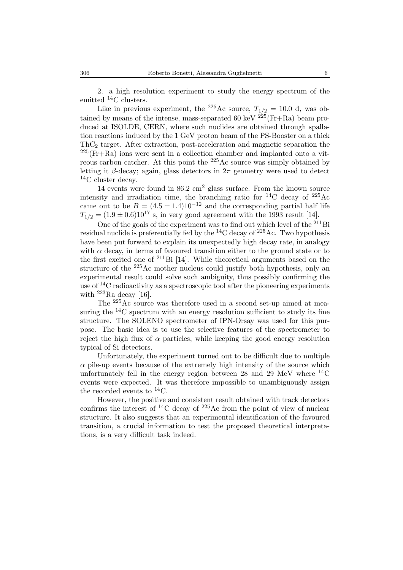2. a high resolution experiment to study the energy spectrum of the emitted <sup>14</sup>C clusters.

Like in previous experiment, the <sup>225</sup>Ac source,  $T_{1/2} = 10.0$  d, was obtained by means of the intense, mass-separated 60 keV  $225$  (Fr+Ra) beam produced at ISOLDE, CERN, where such nuclides are obtained through spallation reactions induced by the 1 GeV proton beam of the PS-Booster on a thick  $ThC<sub>2</sub> target. After extraction, post-acceleration and magnetic separation the$  $2^{25}(Fr+Ra)$  ions were sent in a collection chamber and implanted onto a vitreous carbon catcher. At this point the  $^{225}$ Ac source was simply obtained by letting it β-decay; again, glass detectors in  $2\pi$  geometry were used to detect  ${}^{14}$ C cluster decay.

14 events were found in  $86.2 \text{ cm}^2$  glass surface. From the known source intensity and irradiation time, the branching ratio for  ${}^{14}$ C decay of  ${}^{225}$ Ac came out to be  $B = (4.5 \pm 1.4)10^{-12}$  and the corresponding partial half life  $T_{1/2} = (1.9 \pm 0.6) 10^{17}$  s, in very good agreement with the 1993 result [14].

One of the goals of the experiment was to find out which level of the <sup>211</sup>Bi residual nuclide is preferentially fed by the  ${}^{14}$ C decay of  ${}^{225}$ Ac. Two hypothesis have been put forward to explain its unexpectedly high decay rate, in analogy with  $\alpha$  decay, in terms of favoured transition either to the ground state or to the first excited one of  $^{211}$ Bi [14]. While theoretical arguments based on the structure of the <sup>225</sup>Ac mother nucleus could justify both hypothesis, only an experimental result could solve such ambiguity, thus possibly confirming the use of  $14C$  radioactivity as a spectroscopic tool after the pioneering experiments with <sup>223</sup>Ra decay [16].

The <sup>225</sup>Ac source was therefore used in a second set-up aimed at measuring the  $^{14}$ C spectrum with an energy resolution sufficient to study its fine structure. The SOLENO spectrometer of IPN-Orsay was used for this purpose. The basic idea is to use the selective features of the spectrometer to reject the high flux of  $\alpha$  particles, while keeping the good energy resolution typical of Si detectors.

Unfortunately, the experiment turned out to be difficult due to multiple  $\alpha$  pile-up events because of the extremely high intensity of the source which unfortunately fell in the energy region between 28 and 29 MeV where  ${}^{14}$ C events were expected. It was therefore impossible to unambiguously assign the recorded events to  ${}^{14}C$ .

However, the positive and consistent result obtained with track detectors confirms the interest of  ${}^{14}$ C decay of  ${}^{225}$ Ac from the point of view of nuclear structure. It also suggests that an experimental identification of the favoured transition, a crucial information to test the proposed theoretical interpretations, is a very difficult task indeed.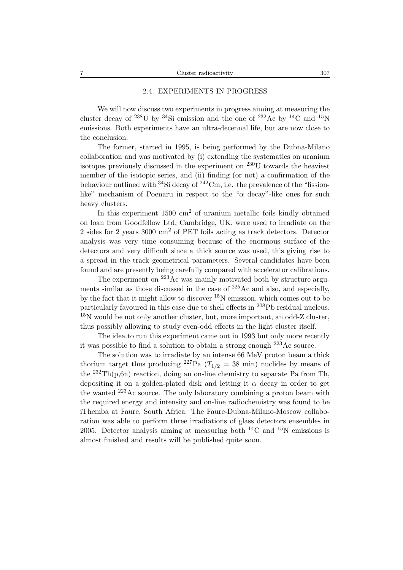### 2.4. EXPERIMENTS IN PROGRESS

We will now discuss two experiments in progress aiming at measuring the cluster decay of <sup>238</sup>U by <sup>34</sup>Si emission and the one of <sup>232</sup>Ac by <sup>14</sup>C and <sup>15</sup>N emissions. Both experiments have an ultra-decennal life, but are now close to the conclusion.

The former, started in 1995, is being performed by the Dubna-Milano collaboration and was motivated by (i) extending the systematics on uranium isotopes previously discussed in the experiment on  $^{230}$ U towards the heaviest member of the isotopic series, and (ii) finding (or not) a confirmation of the behaviour outlined with  $34\text{Si}$  decay of  $242\text{Cm}$ , i.e. the prevalence of the "fissionlike" mechanism of Poenaru in respect to the " $\alpha$  decay"-like ones for such heavy clusters.

In this experiment  $1500 \text{ cm}^2$  of uranium metallic foils kindly obtained on loan from Goodfellow Ltd, Cambridge, UK, were used to irradiate on the 2 sides for 2 years 3000 cm<sup>2</sup> of PET foils acting as track detectors. Detector analysis was very time consuming because of the enormous surface of the detectors and very difficult since a thick source was used, this giving rise to a spread in the track geometrical parameters. Several candidates have been found and are presently being carefully compared with accelerator calibrations.

The experiment on <sup>223</sup>Ac was mainly motivated both by structure arguments similar as those discussed in the case of <sup>225</sup>Ac and also, and especially, by the fact that it might allow to discover  $15N$  emission, which comes out to be particularly favoured in this case due to shell effects in <sup>208</sup>Pb residual nucleus.  $15N$  would be not only another cluster, but, more important, an odd-Z cluster, thus possibly allowing to study even-odd effects in the light cluster itself.

The idea to run this experiment came out in 1993 but only more recently it was possible to find a solution to obtain a strong enough  $^{223}\text{Ac}$  source.

The solution was to irradiate by an intense 66 MeV proton beam a thick thorium target thus producing <sup>227</sup>Pa ( $T_{1/2}$  = 38 min) nuclides by means of the  $^{232}Th(p,6n)$  reaction, doing an on-line chemistry to separate Pa from Th, depositing it on a golden-plated disk and letting it  $\alpha$  decay in order to get the wanted <sup>223</sup>Ac source. The only laboratory combining a proton beam with the required energy and intensity and on-line radiochemistry was found to be iThemba at Faure, South Africa. The Faure-Dubna-Milano-Moscow collaboration was able to perform three irradiations of glass detectors ensembles in 2005. Detector analysis aiming at measuring both  ${}^{14}$ C and  ${}^{15}$ N emissions is almost finished and results will be published quite soon.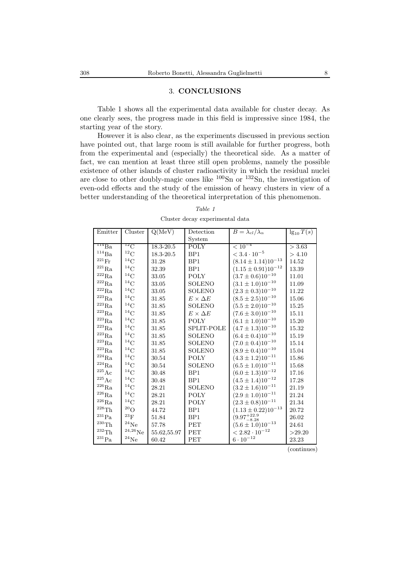### 3. **CONCLUSIONS**

Table 1 shows all the experimental data available for cluster decay. As one clearly sees, the progress made in this field is impressive since 1984, the starting year of the story.

However it is also clear, as the experiments discussed in previous section have pointed out, that large room is still available for further progress, both from the experimental and (especially) the theoretical side. As a matter of fact, we can mention at least three still open problems, namely the possible existence of other islands of cluster radioactivity in which the residual nuclei are close to other doubly-magic ones like  $100$ Sn or  $132$ Sn, the investigation of even-odd effects and the study of the emission of heavy clusters in view of a better understanding of the theoretical interpretation of this phenomenon.

| Emitter                      | Cluster               | Q(MeV)      | Detection           | $B = \lambda_{cl}/\lambda_{\alpha}$ | $\lg_{10} T(s)$ |
|------------------------------|-----------------------|-------------|---------------------|-------------------------------------|-----------------|
|                              |                       |             | System              |                                     |                 |
| $\overline{^{114}\text{Ba}}$ | ${}^{12}$ C           | 18.3-20.5   | <b>POLY</b>         | $< 10^{-4}$                         | > 3.63          |
| $\rm ^{114}Ba$               | $^{12}\mathrm{C}$     | 18.3-20.5   | BP <sub>1</sub>     | $< 3.4 \cdot 10^{-5}$               | > 4.10          |
| $^{221}\mathrm{Fr}$          | ${}^{14}C$            | 31.28       | BP <sub>1</sub>     | $(8.14 \pm 1.14) 10^{-13}$          | 14.52           |
| $^{221}\mathrm{Ra}$          | ${}^{14}$ C           | 32.39       | BP <sub>1</sub>     | $(1.15 \pm 0.91) 10^{-12}$          | 13.39           |
| $^{222}\mathrm{Ra}$          | $\rm ^{14}C$          | 33.05       | <b>POLY</b>         | $(3.7 \pm 0.6) 10^{-10}$            | 11.01           |
| $^{222}\mathrm{Ra}$          | ${}^{14}$ C           | 33.05       | <b>SOLENO</b>       | $(3.1 \pm 1.0)10^{-10}$             | 11.09           |
| $^{222}\mathrm{Ra}$          | $^{14}\mathrm{C}$     | 33.05       | <b>SOLENO</b>       | $(2.3 \pm 0.3) 10^{-10}$            | 11.22           |
| $\rm ^{223}Ra$               | $^{14}$ C             | 31.85       | $E \times \Delta E$ | $(8.5 \pm 2.5)10^{-10}$             | 15.06           |
| $^{223}\mathrm{Ra}$          | ${}^{14}C$            | 31.85       | <b>SOLENO</b>       | $(5.5 \pm 2.0)10^{-10}$             | 15.25           |
| $^{223}\mathrm{Ra}$          | $^{14}\mathrm{C}$     | 31.85       | $E \times \Delta E$ | $(7.6 \pm 3.0)10^{-10}$             | 15.11           |
| $^{223}\mathrm{Ra}$          | $^{14}\mathrm{C}$     | 31.85       | <b>POLY</b>         | $(6.1 \pm 1.0)10^{-10}$             | 15.20           |
| $^{223}\mathrm{Ra}$          | ${}^{14}C$            | 31.85       | SPLIT-POLE          | $(4.7 \pm 1.3)10^{-10}$             | 15.32           |
| $^{223}\mathrm{Ra}$          | $^{14}\mathrm{C}$     | 31.85       | <b>SOLENO</b>       | $(6.4 \pm 0.4) 10^{-10}$            | 15.19           |
| $^{223}\mathrm{Ra}$          | ${}^{14}$ C           | 31.85       | <b>SOLENO</b>       | $(7.0 \pm 0.4) 10^{-10}$            | 15.14           |
| $^{223}\mathrm{Ra}$          | $^{14}\mathrm{C}$     | 31.85       | <b>SOLENO</b>       | $(8.9 \pm 0.4) 10^{-10}$            | 15.04           |
| $^{224}\mathrm{Ra}$          | ${}^{14}C$            | 30.54       | POLY                | $(4.3 \pm 1.2)10^{-11}$             | 15.86           |
| $^{224}\mathrm{Ra}$          | $^{14}\mathrm{C}$     | 30.54       | <b>SOLENO</b>       | $(6.5 \pm 1.0)10^{-11}$             | 15.68           |
| $^{225}\mathrm{Ac}$          | ${}^{14}C$            | 30.48       | BP <sub>1</sub>     | $(6.0 \pm 1.3)10^{-12}$             | 17.16           |
| $^{225}\mathrm{Ac}$          | $^{14}\mathrm{C}$     | 30.48       | BP <sub>1</sub>     | $(4.5 \pm 1.4) 10^{-12}$            | 17.28           |
| $^{226}\mathrm{Ra}$          | ${}^{14}C$            | 28.21       | <b>SOLENO</b>       | $(3.2 \pm 1.6)10^{-11}$             | 21.19           |
| $^{226}\mathrm{Ra}$          | ${}^{14}C$            | 28.21       | <b>POLY</b>         | $(2.9 \pm 1.0)10^{-11}$             | 21.24           |
| $^{226}\mathrm{Ra}$          | ${}^{14}C$            | 28.21       | POLY                | $(2.3 \pm 0.8) 10^{-11}$            | 21.34           |
| $^{228}\mathrm{Th}$          | $^{20}\mathrm{O}$     | 44.72       | BP <sub>1</sub>     | $(1.13 \pm 0.22) 10^{-13}$          | 20.72           |
| $\rm ^{231}Pa$               | $^{23}{\rm F}$        | 51.84       | BP <sub>1</sub>     | $(9.97^{+22.9}_{-8.28})$            | 26.02           |
| $^{230}\mathrm{Th}$          | $^{24}{\rm Ne}$       | 57.78       | PET                 | $(5.6 \pm 1.0)10^{-13}$             | 24.61           |
| $^{232}\mathrm{Th}$          | $^{24,26}\mathrm{Ne}$ | 55.62,55.97 | <b>PET</b>          | $< 2.82 \cdot 10^{-12}$             | >29.20          |
| $\rm ^{231}Pa$               | $^{24}{\rm Ne}$       | 60.42       | <b>PET</b>          | $6\cdot10^{-12}$                    | 23.23           |

*Table 1* Cluster decay experimental data

(continues)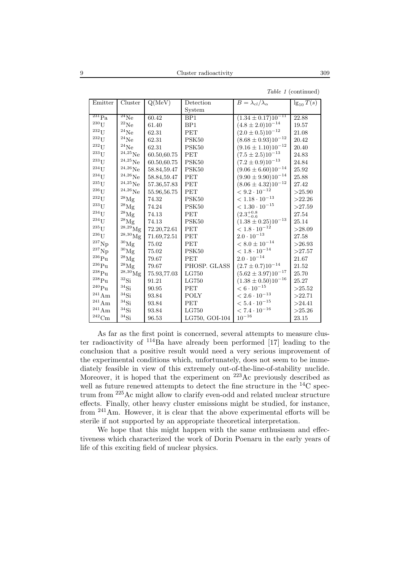| Emitter             | Cluster               | Q(MeV)      | Detection         | $B = \lambda_{cl}/\lambda_{\alpha}$  | $\lg_{10} \overline{T(s)}$ |
|---------------------|-----------------------|-------------|-------------------|--------------------------------------|----------------------------|
|                     |                       |             | System            |                                      |                            |
| $^{231}Pa$          | $^{24}Ne$             | 60.42       | BP1               | $(1.34 \pm \overline{0.17})10^{-11}$ | 22.88                      |
| $^{230}\mathrm{U}$  | $^{22}{\rm Ne}$       | 61.40       | BP1               | $(4.8 \pm 2.0)10^{-14}$              | 19.57                      |
| $^{232}$ U          | $^{24}{\rm Ne}$       | 62.31       | PET               | $(2.0 \pm 0.5) 10^{-12}$             | 21.08                      |
| $^{232}\mathrm{U}$  | $^{24}{\rm Ne}$       | 62.31       | PSK <sub>50</sub> | $(8.68 \pm 0.93) 10^{-12}$           | 20.42                      |
| $^{232}\mathrm{U}$  | $\rm ^{24}Ne$         | 62.31       | PSK50             | $(9.16 \pm 1.10) 10^{-12}$           | 20.40                      |
| $^{233}\mathrm{U}$  | $^{24,25}\mathrm{Ne}$ | 60.50,60.75 | PET               | $(7.5 \pm 2.5)10^{-13}$              | 24.83                      |
| $^{233}\mathrm{U}$  | $^{24,25}\mathrm{Ne}$ | 60.50,60.75 | PSK50             | $(7.2 \pm 0.9) 10^{-13}$             | 24.84                      |
| $^{234}$ U          | $^{24,26}\mathrm{Ne}$ | 58.84,59.47 | PSK50             | $(9.06 \pm 6.60) 10^{-14}$           | 25.92                      |
| $\rm ^{234}U$       | $^{24,26}\mathrm{Ne}$ | 58.84,59.47 | PET               | $(9.90 \pm 9.90) 10^{-14}$           | 25.88                      |
| $^{235}\mathrm{U}$  | $^{24,25}\mathrm{Ne}$ | 57.36,57.83 | <b>PET</b>        | $(8.06 \pm 4.32) 10^{-12}$           | 27.42                      |
| $\rm ^{236}U$       | $^{24,26}\mathrm{Ne}$ | 55.96,56.75 | <b>PET</b>        | $< 9.2 \cdot 10^{-12}$               | >25.90                     |
| $\rm ^{232}U$       | $^{28}\mathrm{Mg}$    | 74.32       | PSK50             | $< 1.18 \cdot 10^{-13}$              | >22.26                     |
| $\mathrm{^{233}U}$  | $^{28}\rm{Mg}$        | 74.24       | PSK50             | $< 1.30 \cdot 10^{-15}$              | >27.59                     |
| $\rm ^{234}U$       | $^{28}\rm{Mg}$        | 74.13       | PET               | $(2.3^{+0.8}_{-0.6})$                | 27.54                      |
| $^{234}\mathrm{U}$  | $^{28}\rm{Mg}$        | 74.13       | PSK50             | $(1.38\pm0.25)10^{-13}$              | 25.14                      |
| $^{235}\mathrm{U}$  | $^{28,29}\mathrm{Mg}$ | 72.20,72.61 | PET               | $< 1.8 \cdot 10^{-12}$               | >28.09                     |
| $^{236}\mathrm{U}$  | $^{28,30}\mathrm{Mg}$ | 71.69,72.51 | PET               | $2.0\cdot10^{-13}$                   | 27.58                      |
| ${}^{237}{\rm Np}$  | $^{30}\mathrm{Mg}$    | 75.02       | PET               | $<8.0\pm10^{-14}$                    | >26.93                     |
| $\mathrm{^{237}Np}$ | $^{30}\rm{Mg}$        | 75.02       | PSK50             | $<1.8\cdot 10^{-14}$                 | >27.57                     |
| $^{236}\rm{Pu}$     | $^{28}\rm{Mg}$        | 79.67       | <b>PET</b>        | $2.0\cdot10^{-14}$                   | 21.67                      |
| $^{236}\rm{Pu}$     | $^{28}\rm{Mg}$        | 79.67       | PHOSP. GLASS      | $(2.7 \pm 0.7) 10^{-14}$             | $21.52\,$                  |
| $\rm ^{238}Pu$      | $^{28,30}\mathrm{Mg}$ | 75.93,77.03 | LG750             | $(5.62 \pm 3.97) 10^{-17}$           | 25.70                      |
| $\rm ^{238}Pu$      | $^{32}{\rm Si}$       | 91.21       | LG750             | $(1.38 \pm 0.50) 10^{-16}$           | 25.27                      |
| $\rm ^{240}Pu$      | $^{34}\mathrm{Si}$    | 90.95       | PET               | $< 6\cdot 10^{-15}$                  | >25.52                     |
| $\rm ^{241}Am$      | $^{34}{\rm Si}$       | 93.84       | POLY              | $< 2.6\cdot 10^{-13}$                | >22.71                     |
| $\rm ^{241}Am$      | ${}^{34}\mathrm{Si}$  | 93.84       | PET               | $<5.4\cdot 10^{-15}$                 | >24.41                     |
| $^{241}\mathrm{Am}$ | ${}^{34}\mathrm{Si}$  | 93.84       | LG750             | $< 7.4\cdot 10^{-16}$                | >25.26                     |
| $\rm ^{242}Cm$      | $^{34}\mathrm{Si}$    | 96.53       | LG750, GOI-104    | $10^{-16}\,$                         | 23.15                      |

*Table 1* (continued)

As far as the first point is concerned, several attempts to measure cluster radioactivity of  $114\text{ Ba}$  have already been performed [17] leading to the conclusion that a positive result would need a very serious improvement of the experimental conditions which, unfortunately, does not seem to be immediately feasible in view of this extremely out-of-the-line-of-stability nuclide. Moreover, it is hoped that the experiment on <sup>223</sup>Ac previously described as well as future renewed attempts to detect the fine structure in the <sup>14</sup>C spectrum from <sup>225</sup>Ac might allow to clarify even-odd and related nuclear structure effects. Finally, other heavy cluster emissions might be studied, for instance, from <sup>241</sup>Am. However, it is clear that the above experimental efforts will be sterile if not supported by an appropriate theoretical interpretation.

We hope that this might happen with the same enthusiasm and effectiveness which characterized the work of Dorin Poenaru in the early years of life of this exciting field of nuclear physics.